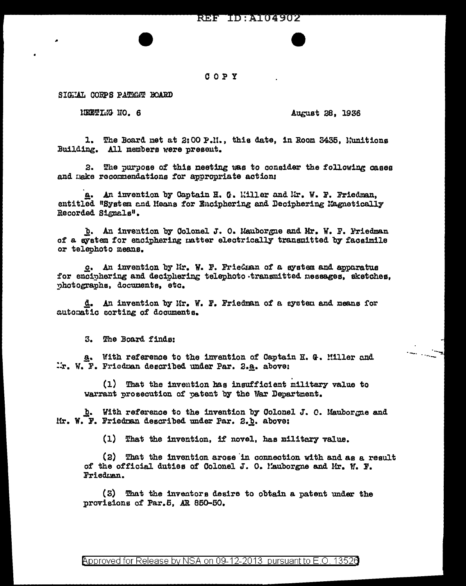# **REFERENCE 4902**

### COPY

SIGNAL CORPS PATEMT BOARD

MEETIMG NO. 6

August 28, 1936

1. The Board met at 2:00 P.M., this date, in Room 3435, Munitions Building. All members were present.

2. The purpose of this neeting was to consider the following cases and make recommendations for appropriate action:

a. An invention by Captain H. G. Miller and Mr. W. F. Friedman, entitled "System and Heans for Enciphering and Deciphering Magnetically Recorded Signals".

b. An invention by Colonel J. O. Mauborgne and Mr. W. F. Friedman of a system for encinhering matter electrically transmitted by facsimile or telephoto means.

c. An invention by Mr. W. F. Friedman of a system and apparatus for enciphering and deciphering telephoto transmitted messages, sketches, photographs, documents, etc.

d. An invention by Mr. W. F. Friedman of a system and means for automatic sorting of documents.

3. The Board finds:

a. With reference to the invention of Captain H. G. Miller and .'r. W. F. Friedman described under Par. 2.a. above:

(1) That the invention has insufficient military value to warrant prosecution of patent by the War Department.

b. With reference to the invention by Colonel J. C. Mauborgne and Mr. W. F. Friedman described under Par. 2.b. above:

(1) That the invention, if novel, has military value.

(2) That the invention arose in connection with and as a result of the official duties of Colonel J. O. Mauborgne and Mr. W. F. Friedman.

(3) That the inventors desire to obtain a patent under the provisions of Par.5, AR 850-50.

Approved for Release by NSA on 09-12-2013 pursuant to E.O. 13520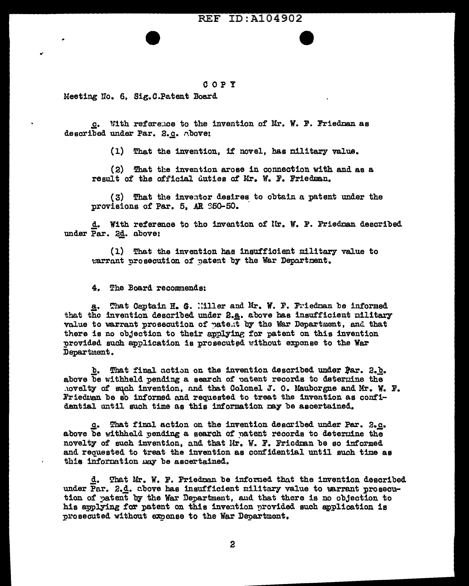## **REF ID: A104902**

#### COPY

Meeting No. 6, Sig. C. Patent Board

With reference to the invention of Mr. W. F. Friedman as  $c_{\bullet}$ described under Par. 2.c. above:

(1) That the invention, if novel, has military value.

(2) That the invention arose in connection with and as a result of the official duties of Mr. W. F. Friedman.

(3) That the inventor desires to obtain a patent under the provisions of Par. 5. AR \$50-50.

d. With reference to the invention of Hr. W. F. Friedman described under Par. 2d. above:

(1) That the invention has insufficient military value to warrant prosecution of patent by the War Department.

4. The Board recommends:

a. That Captain H. G. Willer and Mr. W. F. Friedman be informed that the invention described under 2.a. above has insufficient nilitary value to warrant prosecution of pate. t by the War Department, and that there is no objection to their applying for patent on this invention provided such application is prosecuted without expense to the War Department.

b. That final action on the invention described under Par. 2.b. above be withheld pending a search of patent records to determine the hovelty of such invention, and that Colonel J. O. Mauborgne and Mr. W. F. Friedman be so informed and requested to treat the invention as confidential until such time as this information may be ascertained.

That final action on the invention described under Par. 2.c. above be withheld pending a search of natent records to determine the novelty of such invention, and that Mr. W. F. Friedman be so informed and requested to treat the invention as confidential until such time as this information may be ascertained.

d. That Mr. W. F. Friedman be informed that the invention described under Par. 2.d. above has insufficient military value to warrant prosecution of patent by the War Department, and that there is no objection to his applying for patent on this invention provided such application is prosecuted without expense to the War Department.

 $\mathbf{2}$